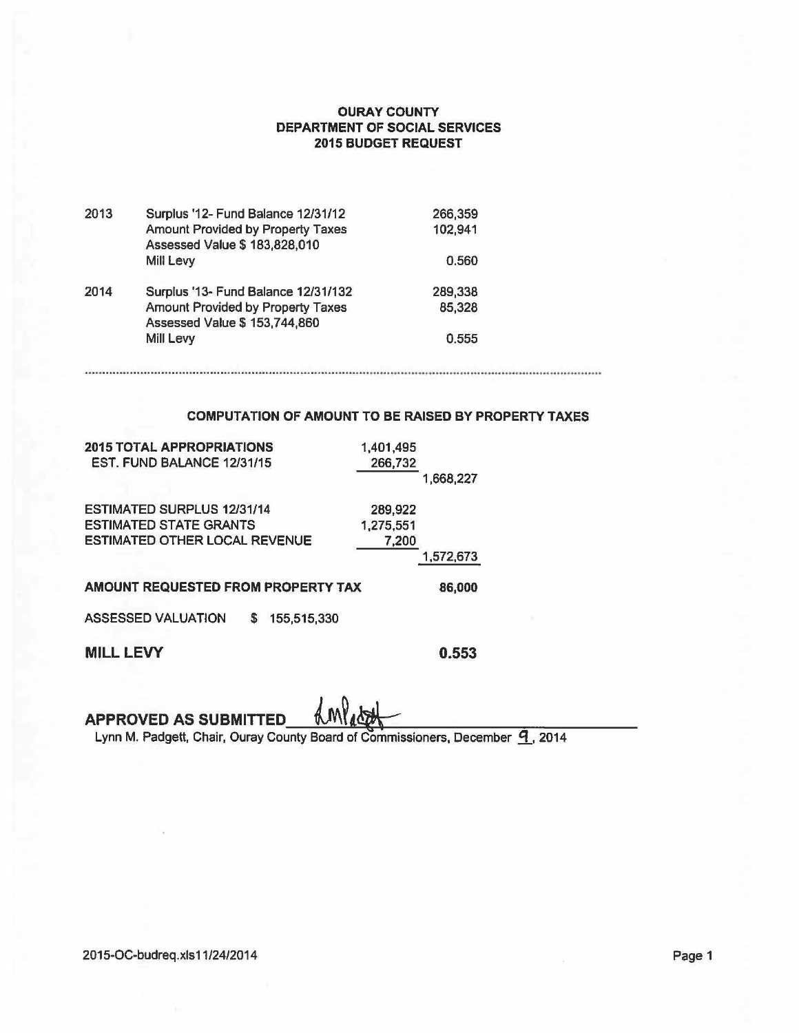## OURAY COUNTY DEPARTMENT OF SOCIAL SERVICES 2015 BUDGET REQUEST

| 2013 | Surplus '12- Fund Balance 12/31/12  | 266,359 |
|------|-------------------------------------|---------|
|      | Amount Provided by Property Taxes   | 102,941 |
|      | Assessed Value \$ 183,828,010       |         |
|      | Mill Levy                           | 0.560   |
| 2014 | Surplus '13- Fund Balance 12/31/132 | 289,338 |
|      | Amount Provided by Property Taxes   | 85,328  |
|      | Assessed Value \$ 153,744,860       |         |
|      | Mill Levy                           | 0.555   |
|      |                                     |         |

## COMPUTATION OF AMOUNT TO BE RAISED BY PROPERTY TAXES

| <b>2015 TOTAL APPROPRIATIONS</b>              | 1,401,495 |           |
|-----------------------------------------------|-----------|-----------|
| EST. FUND BALANCE 12/31/15                    | 266,732   |           |
|                                               |           | 1,668,227 |
| <b>ESTIMATED SURPLUS 12/31/14</b>             | 289,922   |           |
| <b>ESTIMATED STATE GRANTS</b>                 | 1,275,551 |           |
| <b>ESTIMATED OTHER LOCAL REVENUE</b>          | 7,200     |           |
|                                               |           | 1,572,673 |
| AMOUNT REQUESTED FROM PROPERTY TAX            |           | 86,000    |
| <b>ASSESSED VALUATION</b><br>155,515,330<br>S |           |           |
| <b>MILL LEVY</b>                              |           | 0.553     |

APPROVED AS SUBMITTED

Lynn M. Padgett, Chair, Ouray County Board of Commissioners, December 9, 2014

2015-OC-budreq.xls11/24/2014 **Page 1**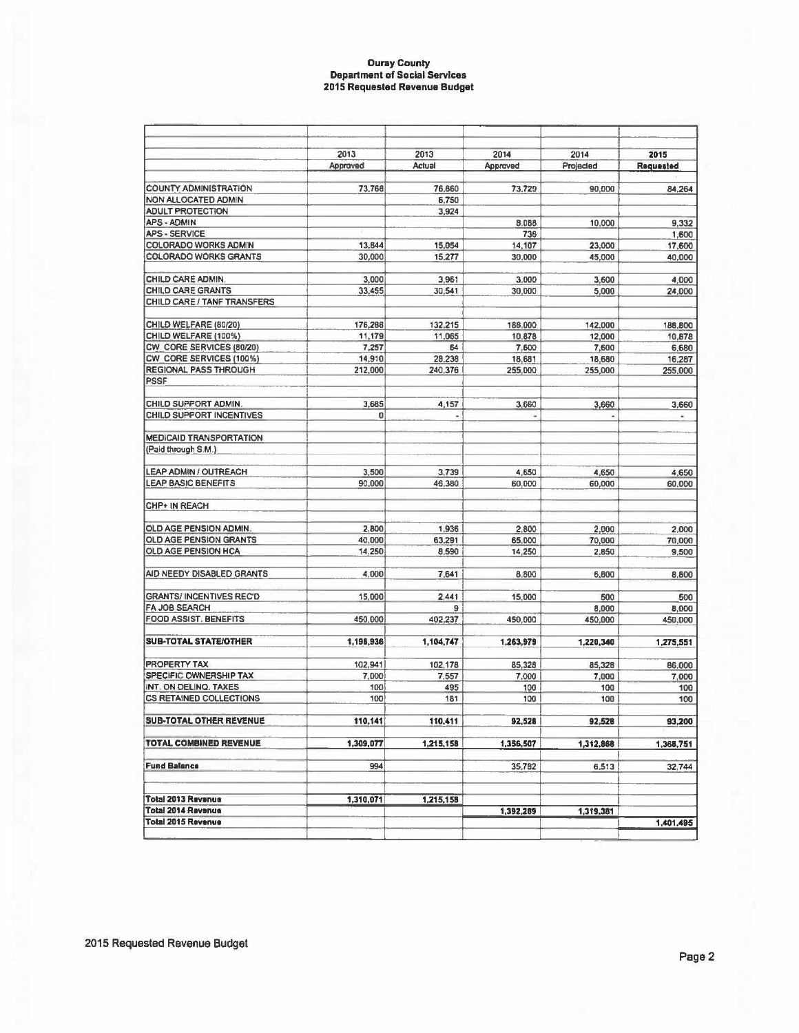## **Ouray County Department of Social Services 2015 Requested Revenue Budget**

|                                                         | 2013            | 2013         | 2014              | 2014           | 2015      |
|---------------------------------------------------------|-----------------|--------------|-------------------|----------------|-----------|
|                                                         | Approved        | Actual       | Approved          | Projected      | Requested |
| <b>COUNTY ADMINISTRATION</b>                            | 73,768          | 76,860       | 73,729            | 90,000         | 84,264    |
| <b>NON ALLOCATED ADMIN</b>                              |                 | 6,750        |                   |                |           |
| <b>ADULT PROTECTION</b>                                 |                 | 3,924        |                   |                |           |
| APS - ADMIN                                             |                 |              | 8.088             | 10,000         | 9,332     |
| <b>APS - SERVICE</b>                                    |                 |              | 736               |                | 1,600     |
| <b>COLORADO WORKS ADMIN</b>                             | 13,844          | 15,054       | 14,107            | 23,000         | 17,600    |
| COLORADO WORKS GRANTS                                   | 30,000          | 15.277       | 30,000            | 45,000         | 40,000    |
|                                                         |                 |              |                   |                |           |
| CHILD CARE ADMIN.                                       | 3,000           | 3,961        | 3,000             | 3,600          | 4,000     |
| CHILD CARE GRANTS                                       | 33,455          | 30,541       | 30,000            | 5,000          | 24,000    |
| CHILD CARE / TANF TRANSFERS                             |                 |              |                   |                |           |
|                                                         |                 |              |                   |                |           |
| CHILD WELFARE (80/20)                                   | 176,288         | 132,215      | 188,000           | 142,000        | 188,800   |
| CHILD WELFARE (100%)                                    | 11,179          | 11,065       | 10.878            | 12,000         | 10,878    |
| CW_CORE SERVICES (80/20)                                | 7,257<br>14,910 | 64<br>28,238 | 7,600             | 7,600          | 6,680     |
| CW_CORE SERVICES (100%)<br><b>REGIONAL PASS THROUGH</b> | 212,000         | 240.376      | 18,681<br>255,000 | 18,680         | 16,287    |
| <b>PSSF</b>                                             |                 |              |                   | 255,000        | 255,000   |
|                                                         |                 |              |                   |                |           |
| CHILD SUPPORT ADMIN.                                    | 3,685           | 4,157        | 3,660             | 3,660          | 3,660     |
| CHILD SUPPORT INCENTIVES                                | o               | μ            | ×                 | $\blacksquare$ | é.        |
|                                                         |                 |              |                   |                |           |
| <b>MEDICAID TRANSPORTATION</b>                          |                 |              |                   |                |           |
| (Paid through S.M.)                                     |                 |              |                   |                |           |
| LEAP ADMIN / OUTREACH                                   | 3,500           | 3,739        | 4,650             | 4,650          | 4,650     |
| <b>LEAP BASIC BENEFITS</b>                              | 90,000          | 46,380       | 60,000            | 60,000         | 60,000    |
|                                                         |                 |              |                   |                |           |
| <b>CHP+ IN REACH</b>                                    |                 |              |                   |                |           |
|                                                         |                 |              |                   |                |           |
| OLD AGE PENSION ADMIN.                                  | 2,800           | 1,936        | 2,800             | 2,000          | 2,000     |
| <b>OLD AGE PENSION GRANTS</b>                           | 40,000          | 63,291       | 65,000            | 70,000         | 70,000    |
| OLD AGE PENSION HCA                                     | 14.250          | 8,590        | 14,250            | 2,850          | 9,500     |
| AID NEEDY DISABLED GRANTS                               | 4,000           | 7,641        | 8,800             | 6,800          | 8,800     |
|                                                         |                 |              |                   |                |           |
| <b>GRANTS/ INCENTIVES REC'D</b>                         | 15,000          | 2,441        | 15,000            | 500            | 500       |
| FA JOB SEARCH<br><b>FOOD ASSIST. BENEFITS</b>           |                 | 9            |                   | 8,000          | 8,000     |
|                                                         | 450,000         | 402,237      | 450,000           | 450,000        | 450,000   |
| <b>SUB-TOTAL STATE/OTHER</b>                            | 1,198,936       | 1,104,747    | 1,263,979         | 1,220,340      | 1.275,551 |
| <b>PROPERTY TAX</b>                                     | 102,941         | 102,178      | 85.328            | 85,328         | 86,000    |
| SPECIFIC OWNERSHIP TAX                                  | 7,000           | 7,557        | 7,000             | 7,000          | 7,000     |
| INT. ON DELINQ. TAXES                                   | 100             | 495          | 100               | 100            | 100       |
| <b>CS RETAINED COLLECTIONS</b>                          | 100             | 181          | 100               | 100            | 100       |
| SUB-TOTAL OTHER REVENUE                                 |                 |              |                   |                |           |
|                                                         | 110,141         | 110,411      | 92,528            | 92,528         | 93,200    |
| <b>TOTAL COMBINED REVENUE</b>                           | 1,309,077       | 1,215,158    | 1,356,507         | 1,312,868      | 1,368,751 |
| <b>Fund Balance</b>                                     | 994             |              | 35.782            | 6,513          | 32,744    |
|                                                         |                 |              |                   |                |           |
| <b>Total 2013 Revenue</b>                               | 1,310,071       | 1,215,158    |                   |                |           |
| <b>Total 2014 Revenue</b>                               |                 |              | 1,392,269         | 1,319,381      |           |
| <b>Total 2015 Revenue</b>                               |                 |              |                   |                | 1,401,495 |
|                                                         |                 |              |                   |                |           |